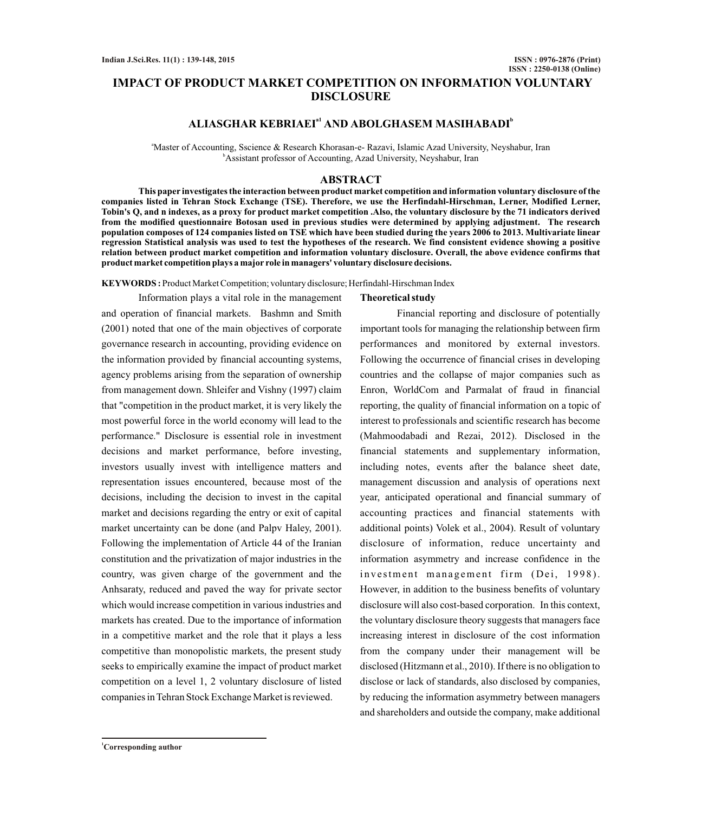# **IMPACT OF PRODUCT MARKET COMPETITION ON INFORMATION VOLUNTARY DISCLOSURE**

# **a1 <sup>b</sup> ALIASGHAR KEBRIAEI AND ABOLGHASEM MASIHABADI**

<sup>a</sup>Master of Accounting, Sscience & Research Khorasan-e- Razavi, Islamic Azad University, Neyshabur, Iran <sup>b</sup>Assistant professor of Accounting, Azad University, Neyshabur, Iran

## **ABSTRACT**

**This paper investigates the interaction between product market competition and information voluntary disclosure of the companies listed in Tehran Stock Exchange (TSE). Therefore, we use the Herfindahl-Hirschman, Lerner, Modified Lerner, Tobin's Q, and n indexes, as a proxy for product market competition .Also, the voluntary disclosure by the 71 indicators derived from the modified questionnaire Botosan used in previous studies were determined by applying adjustment. The research population composes of 124 companies listed on TSE which have been studied during the years 2006 to 2013. Multivariate linear regression Statistical analysis was used to test the hypotheses of the research. We find consistent evidence showing a positive relation between product market competition and information voluntary disclosure. Overall, the above evidence confirms that product market competition plays a major role in managers' voluntary disclosure decisions.**

**KEYWORDS :** Product Market Competition; voluntary disclosure; Herfindahl-Hirschman Index

Information plays a vital role in the management and operation of financial markets. Bashmn and Smith (2001) noted that one of the main objectives of corporate governance research in accounting, providing evidence on the information provided by financial accounting systems, agency problems arising from the separation of ownership from management down. Shleifer and Vishny (1997) claim that "competition in the product market, it is very likely the most powerful force in the world economy will lead to the performance." Disclosure is essential role in investment decisions and market performance, before investing, investors usually invest with intelligence matters and representation issues encountered, because most of the decisions, including the decision to invest in the capital market and decisions regarding the entry or exit of capital market uncertainty can be done (and Palpv Haley, 2001). Following the implementation of Article 44 of the Iranian constitution and the privatization of major industries in the country, was given charge of the government and the Anhsaraty, reduced and paved the way for private sector which would increase competition in various industries and markets has created. Due to the importance of information in a competitive market and the role that it plays a less competitive than monopolistic markets, the present study seeks to empirically examine the impact of product market competition on a level 1, 2 voluntary disclosure of listed companies in Tehran Stock Exchange Market is reviewed.

## **Theoretical study**

Financial reporting and disclosure of potentially important tools for managing the relationship between firm performances and monitored by external investors. Following the occurrence of financial crises in developing countries and the collapse of major companies such as Enron, WorldCom and Parmalat of fraud in financial reporting, the quality of financial information on a topic of interest to professionals and scientific research has become (Mahmoodabadi and Rezai, 2012). Disclosed in the financial statements and supplementary information, including notes, events after the balance sheet date, management discussion and analysis of operations next year, anticipated operational and financial summary of accounting practices and financial statements with additional points) Volek et al., 2004). Result of voluntary disclosure of information, reduce uncertainty and information asymmetry and increase confidence in the investment management firm (Dei, 1998). However, in addition to the business benefits of voluntary disclosure will also cost-based corporation. In this context, the voluntary disclosure theory suggests that managers face increasing interest in disclosure of the cost information from the company under their management will be disclosed (Hitzmann et al., 2010). If there is no obligation to disclose or lack of standards, also disclosed by companies, by reducing the information asymmetry between managers and shareholders and outside the company, make additional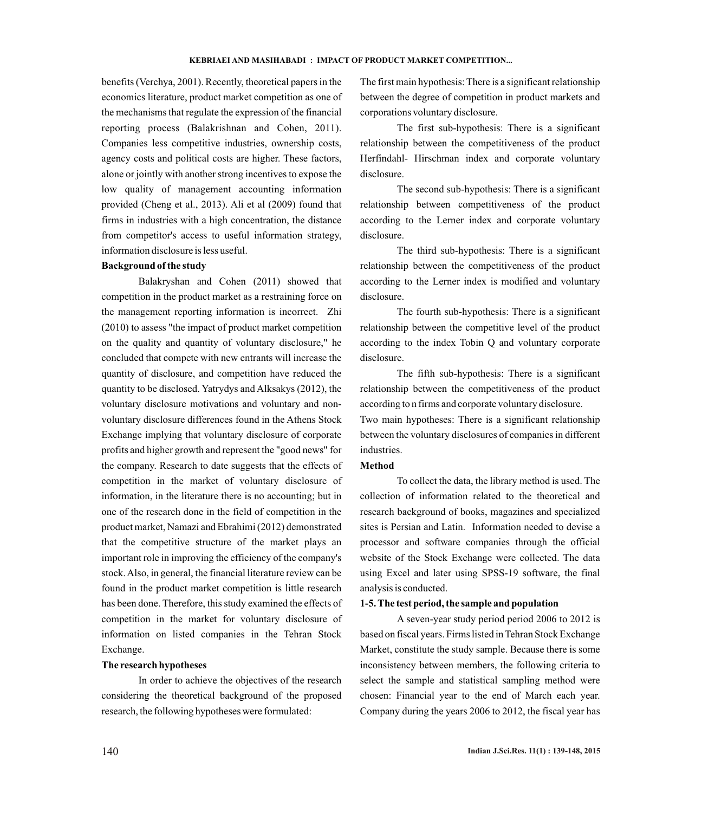benefits (Verchya, 2001). Recently, theoretical papers in the economics literature, product market competition as one of the mechanisms that regulate the expression of the financial reporting process (Balakrishnan and Cohen, 2011). Companies less competitive industries, ownership costs, agency costs and political costs are higher. These factors, alone or jointly with another strong incentives to expose the low quality of management accounting information provided (Cheng et al., 2013). Ali et al (2009) found that firms in industries with a high concentration, the distance from competitor's access to useful information strategy, information disclosure is less useful.

## **Background of the study**

Balakryshan and Cohen (2011) showed that competition in the product market as a restraining force on the management reporting information is incorrect. Zhi (2010) to assess "the impact of product market competition on the quality and quantity of voluntary disclosure," he concluded that compete with new entrants will increase the quantity of disclosure, and competition have reduced the quantity to be disclosed. Yatrydys and Alksakys (2012), the voluntary disclosure motivations and voluntary and nonvoluntary disclosure differences found in the Athens Stock Exchange implying that voluntary disclosure of corporate profits and higher growth and represent the "good news" for the company. Research to date suggests that the effects of competition in the market of voluntary disclosure of information, in the literature there is no accounting; but in one of the research done in the field of competition in the product market, Namazi and Ebrahimi (2012) demonstrated that the competitive structure of the market plays an important role in improving the efficiency of the company's stock. Also, in general, the financial literature review can be found in the product market competition is little research has been done. Therefore, this study examined the effects of competition in the market for voluntary disclosure of information on listed companies in the Tehran Stock Exchange.

## **The research hypotheses**

In order to achieve the objectives of the research considering the theoretical background of the proposed research, the following hypotheses were formulated:

The first main hypothesis: There is a significant relationship between the degree of competition in product markets and corporations voluntary disclosure.

The first sub-hypothesis: There is a significant relationship between the competitiveness of the product Herfindahl- Hirschman index and corporate voluntary disclosure.

The second sub-hypothesis: There is a significant relationship between competitiveness of the product according to the Lerner index and corporate voluntary disclosure.

The third sub-hypothesis: There is a significant relationship between the competitiveness of the product according to the Lerner index is modified and voluntary disclosure.

The fourth sub-hypothesis: There is a significant relationship between the competitive level of the product according to the index Tobin Q and voluntary corporate disclosure.

The fifth sub-hypothesis: There is a significant relationship between the competitiveness of the product according to n firms and corporate voluntary disclosure.

Two main hypotheses: There is a significant relationship between the voluntary disclosures of companies in different industries.

## **Method**

To collect the data, the library method is used. The collection of information related to the theoretical and research background of books, magazines and specialized sites is Persian and Latin. Information needed to devise a processor and software companies through the official website of the Stock Exchange were collected. The data using Excel and later using SPSS-19 software, the final analysis is conducted.

#### **1-5. The test period, the sample and population**

A seven-year study period period 2006 to 2012 is based on fiscal years. Firms listed in Tehran Stock Exchange Market, constitute the study sample. Because there is some inconsistency between members, the following criteria to select the sample and statistical sampling method were chosen: Financial year to the end of March each year. Company during the years 2006 to 2012, the fiscal year has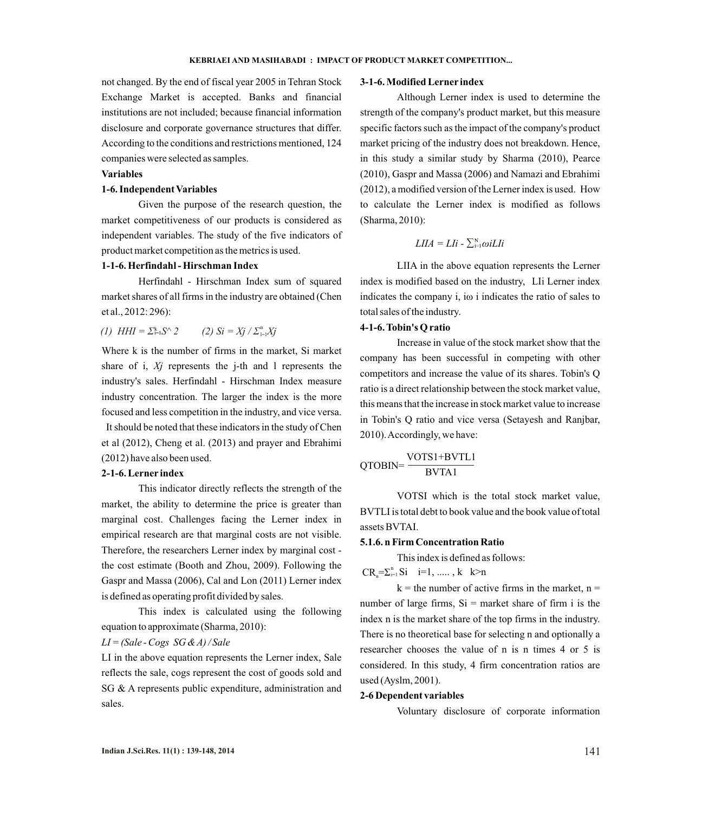# not changed. By the end of fiscal year 2005 in Tehran Stock Exchange Market is accepted. Banks and financial institutions are not included; because financial information disclosure and corporate governance structures that differ. According to the conditions and restrictions mentioned, 124 companies were selected as samples.

## **Variables**

## **1-6. Independent Variables**

Given the purpose of the research question, the market competitiveness of our products is considered as independent variables. The study of the five indicators of product market competition as the metrics is used.

## **1-1-6. Herfindahl - Hirschman Index**

Herfindahl - Hirschman Index sum of squared market shares of all firms in the industry are obtained (Chen et al., 2012: 296):

(1) 
$$
HHI = \sum_{i=1}^{k} S^{\wedge} 2
$$
 (2)  $Si = Xj / \sum_{i=1}^{n} Xj$ 

Where k is the number of firms in the market, Si market share of i, *Xj* represents the j-th and l represents the industry's sales. Herfindahl - Hirschman Index measure industry concentration. The larger the index is the more focused and less competition in the industry, and vice versa. It should be noted that these indicators in the study of Chen et al (2012), Cheng et al. (2013) and prayer and Ebrahimi (2012) have also been used.

#### **2-1-6. Lerner index**

This indicator directly reflects the strength of the market, the ability to determine the price is greater than marginal cost. Challenges facing the Lerner index in empirical research are that marginal costs are not visible. Therefore, the researchers Lerner index by marginal cost the cost estimate (Booth and Zhou, 2009). Following the Gaspr and Massa (2006), Cal and Lon (2011) Lerner index is defined as operating profit divided by sales.

This index is calculated using the following equation to approximate (Sharma, 2010):

## *LI = (Sale - Cogs SG & A) / Sale*

LI in the above equation represents the Lerner index, Sale reflects the sale, cogs represent the cost of goods sold and SG & A represents public expenditure, administration and sales.

## **3-1-6. Modified Lerner index**

Although Lerner index is used to determine the strength of the company's product market, but this measure specific factors such as the impact of the company's product market pricing of the industry does not breakdown. Hence, in this study a similar study by Sharma (2010), Pearce (2010), Gaspr and Massa (2006) and Namazi and Ebrahimi (2012), a modified version of the Lerner index is used. How to calculate the Lerner index is modified as follows (Sharma, 2010):

$$
LIIA = LI \mathbf{i} - \sum_{i=1}^{N} \omega i L I \mathbf{i}
$$

LIIA in the above equation represents the Lerner index is modified based on the industry, LIi Lerner index indicates the company i, iω i indicates the ratio of sales to total sales of the industry.

## **4-1-6. Tobin's Q ratio**

Increase in value of the stock market show that the company has been successful in competing with other competitors and increase the value of its shares. Tobin's Q ratio is a direct relationship between the stock market value, this means that the increase in stock market value to increase in Tobin's Q ratio and vice versa (Setayesh and Ranjbar, 2010). Accordingly, we have:

$$
QTOBIN = \frac{VOTS1 + BVTL1}{BVTA1}
$$

VOTSI which is the total stock market value, BVTLI is total debt to book value and the book value of total assets BVTAI.

## **5.1.6. n Firm Concentration Ratio**

This index is defined as follows:

 $CR_n = \sum_{i=1}^n Si \quad i=1, \dots, k \quad k>n$ 

 $k =$  the number of active firms in the market,  $n =$ number of large firms,  $Si =$  market share of firm i is the index n is the market share of the top firms in the industry. There is no theoretical base for selecting n and optionally a researcher chooses the value of n is n times 4 or 5 is considered. In this study, 4 firm concentration ratios are used (Ayslm, 2001).

### **2-6 Dependent variables**

Voluntary disclosure of corporate information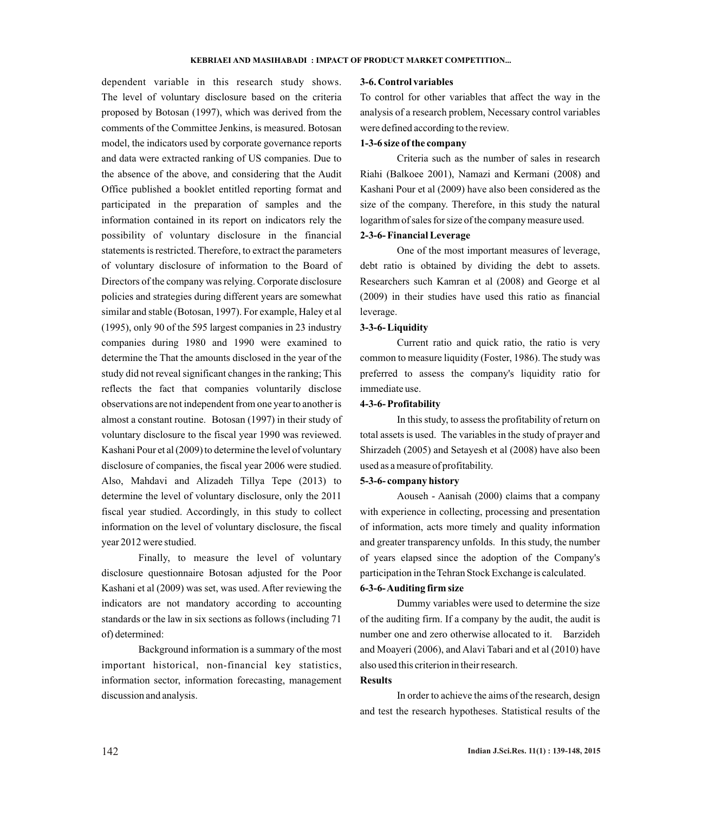dependent variable in this research study shows. The level of voluntary disclosure based on the criteria proposed by Botosan (1997), which was derived from the comments of the Committee Jenkins, is measured. Botosan model, the indicators used by corporate governance reports and data were extracted ranking of US companies. Due to the absence of the above, and considering that the Audit Office published a booklet entitled reporting format and participated in the preparation of samples and the information contained in its report on indicators rely the possibility of voluntary disclosure in the financial statements is restricted. Therefore, to extract the parameters of voluntary disclosure of information to the Board of Directors of the company was relying. Corporate disclosure policies and strategies during different years are somewhat similar and stable (Botosan, 1997). For example, Haley et al (1995), only 90 of the 595 largest companies in 23 industry companies during 1980 and 1990 were examined to determine the That the amounts disclosed in the year of the study did not reveal significant changes in the ranking; This reflects the fact that companies voluntarily disclose observations are not independent from one year to another is almost a constant routine. Botosan (1997) in their study of voluntary disclosure to the fiscal year 1990 was reviewed. Kashani Pour et al (2009) to determine the level of voluntary disclosure of companies, the fiscal year 2006 were studied. Also, Mahdavi and Alizadeh Tillya Tepe (2013) to determine the level of voluntary disclosure, only the 2011 fiscal year studied. Accordingly, in this study to collect information on the level of voluntary disclosure, the fiscal year 2012 were studied.

Finally, to measure the level of voluntary disclosure questionnaire Botosan adjusted for the Poor Kashani et al (2009) was set, was used. After reviewing the indicators are not mandatory according to accounting standards or the law in six sections as follows (including 71 of) determined:

Background information is a summary of the most important historical, non-financial key statistics, information sector, information forecasting, management discussion and analysis.

### **3-6. Control variables**

To control for other variables that affect the way in the analysis of a research problem, Necessary control variables were defined according to the review.

## **1-3-6 size of the company**

Criteria such as the number of sales in research Riahi (Balkoee 2001), Namazi and Kermani (2008) and Kashani Pour et al (2009) have also been considered as the size of the company. Therefore, in this study the natural logarithm of sales for size of the company measure used.

## **2-3-6- Financial Leverage**

One of the most important measures of leverage, debt ratio is obtained by dividing the debt to assets. Researchers such Kamran et al (2008) and George et al (2009) in their studies have used this ratio as financial leverage.

## **3-3-6- Liquidity**

Current ratio and quick ratio, the ratio is very common to measure liquidity (Foster, 1986). The study was preferred to assess the company's liquidity ratio for immediate use.

## **4-3-6- Profitability**

In this study, to assess the profitability of return on total assets is used. The variables in the study of prayer and Shirzadeh (2005) and Setayesh et al (2008) have also been used as a measure of profitability.

## **5-3-6- company history**

Aouseh - Aanisah (2000) claims that a company with experience in collecting, processing and presentation of information, acts more timely and quality information and greater transparency unfolds. In this study, the number of years elapsed since the adoption of the Company's participation in the Tehran Stock Exchange is calculated. **6-3-6- Auditing firm size**

# Dummy variables were used to determine the size of the auditing firm. If a company by the audit, the audit is number one and zero otherwise allocated to it. Barzideh and Moayeri (2006), and Alavi Tabari and et al (2010) have

also used this criterion in their research.

#### **Results**

In order to achieve the aims of the research, design and test the research hypotheses. Statistical results of the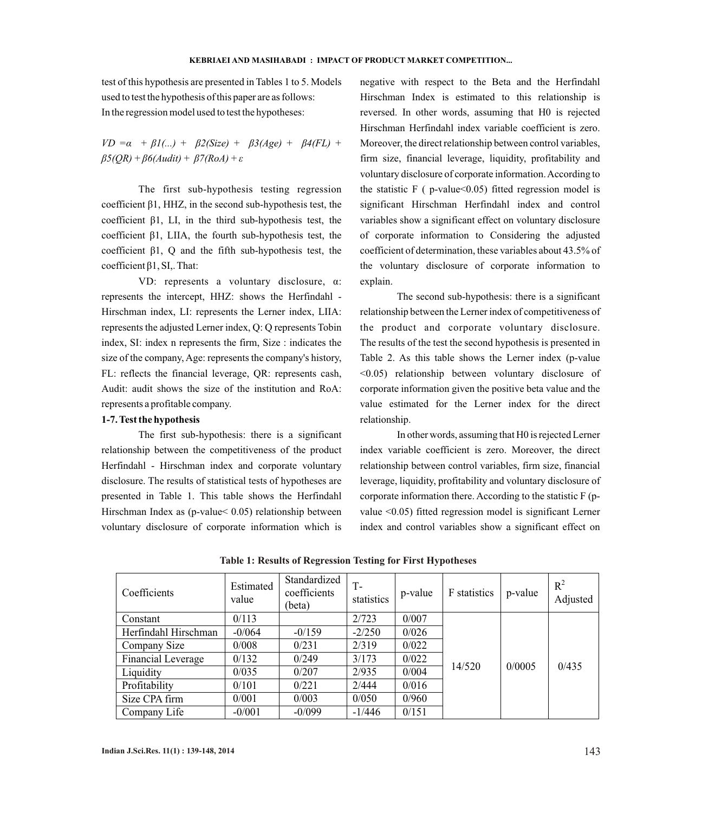test of this hypothesis are presented in Tables 1 to 5. Models used to test the hypothesis of this paper are as follows: In the regression model used to test the hypotheses:

 $VD = \alpha + \beta_1$ (...) +  $\beta_2$ (Size) +  $\beta_3$ (Age) +  $\beta_4$ (FL) + *β5(QR) + β6(Audit) + β7(RoA) + ε*

The first sub-hypothesis testing regression coefficient β1, HHZ, in the second sub-hypothesis test, the coefficient β1, LI, in the third sub-hypothesis test, the coefficient β1, LIIA, the fourth sub-hypothesis test, the coefficient β1, Q and the fifth sub-hypothesis test, the coefficient β1, SI,. That:

VD: represents a voluntary disclosure, α: represents the intercept, HHZ: shows the Herfindahl - Hirschman index, LI: represents the Lerner index, LIIA: represents the adjusted Lerner index, Q: Q represents Tobin index, SI: index n represents the firm, Size : indicates the size of the company, Age: represents the company's history, FL: reflects the financial leverage, QR: represents cash, Audit: audit shows the size of the institution and RoA: represents a profitable company.

## **1-7. Test the hypothesis**

The first sub-hypothesis: there is a significant relationship between the competitiveness of the product Herfindahl - Hirschman index and corporate voluntary disclosure. The results of statistical tests of hypotheses are presented in Table 1. This table shows the Herfindahl Hirschman Index as (p-value< 0.05) relationship between voluntary disclosure of corporate information which is

negative with respect to the Beta and the Herfindahl Hirschman Index is estimated to this relationship is reversed. In other words, assuming that H0 is rejected Hirschman Herfindahl index variable coefficient is zero. Moreover, the direct relationship between control variables, firm size, financial leverage, liquidity, profitability and voluntary disclosure of corporate information. According to the statistic  $F$  (  $p$ -value  $0.05$ ) fitted regression model is significant Hirschman Herfindahl index and control variables show a significant effect on voluntary disclosure of corporate information to Considering the adjusted coefficient of determination, these variables about 43.5% of the voluntary disclosure of corporate information to explain.

The second sub-hypothesis: there is a significant relationship between the Lerner index of competitiveness of the product and corporate voluntary disclosure. The results of the test the second hypothesis is presented in Table 2. As this table shows the Lerner index (p-value <0.05) relationship between voluntary disclosure of corporate information given the positive beta value and the value estimated for the Lerner index for the direct relationship.

In other words, assuming that H0 is rejected Lerner index variable coefficient is zero. Moreover, the direct relationship between control variables, firm size, financial leverage, liquidity, profitability and voluntary disclosure of corporate information there. According to the statistic F (pvalue <0.05) fitted regression model is significant Lerner index and control variables show a significant effect on

| Coefficients         | Estimated<br>value | Standardized<br>coefficients<br>(beta) | T-<br>statistics | p-value | F statistics | p-value | $R^2$<br>Adjusted |
|----------------------|--------------------|----------------------------------------|------------------|---------|--------------|---------|-------------------|
| Constant             | 0/113              |                                        | 2/723            | 0/007   |              |         |                   |
| Herfindahl Hirschman | $-0/064$           | $-0/159$                               | $-2/250$         | 0/026   |              |         |                   |
| Company Size         | 0/008              | 0/231                                  | 2/319            | 0/022   |              |         |                   |
| Financial Leverage   | 0/132              | 0/249                                  | 3/173            | 0/022   | 14/520       | 0/0005  | 0/435             |
| Liquidity            | 0/035              | 0/207                                  | 2/935            | 0/004   |              |         |                   |
| Profitability        | 0/101              | 0/221                                  | 2/444            | 0/016   |              |         |                   |
| Size CPA firm        | 0/001              | 0/003                                  | 0/050            | 0/960   |              |         |                   |
| Company Life         | $-0/001$           | $-0/099$                               | $-1/446$         | 0/151   |              |         |                   |

**Table 1: Results of Regression Testing for First Hypotheses**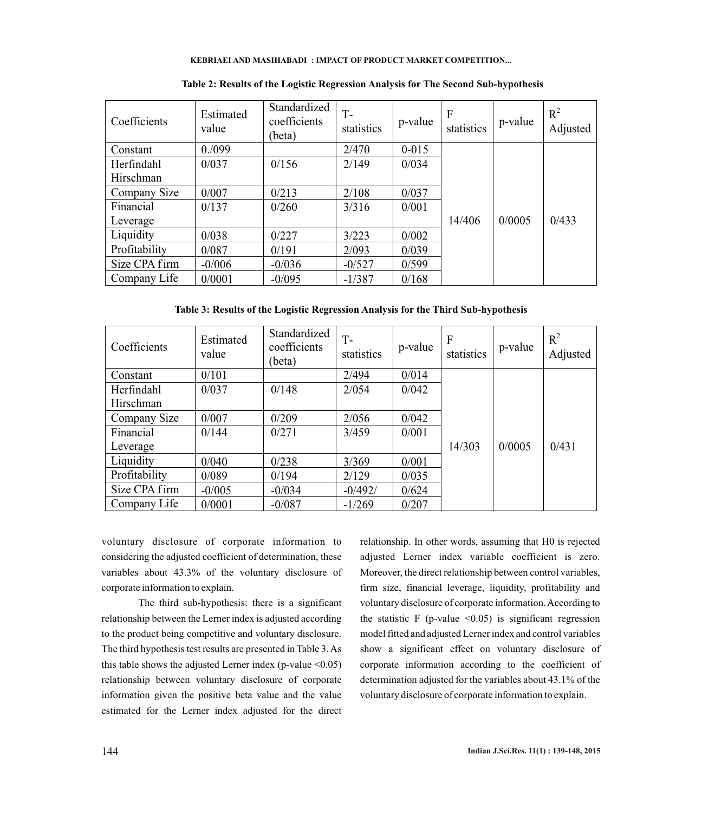| Coefficients  | Estimated<br>value | Standardized<br>coefficients<br>(beta) | $T -$<br>statistics | p-value   | F<br>statistics | p-value | $R^2$<br>Adjusted |
|---------------|--------------------|----------------------------------------|---------------------|-----------|-----------------|---------|-------------------|
| Constant      | 0.099              |                                        | 2/470               | $0 - 015$ |                 |         |                   |
| Herfindahl    | 0/037              | 0/156                                  | 2/149               | 0/034     |                 |         |                   |
| Hirschman     |                    |                                        |                     |           |                 |         |                   |
| Company Size  | 0/007              | 0/213                                  | 2/108               | 0/037     |                 |         |                   |
| Financial     | 0/137              | 0/260                                  | 3/316               | 0/001     |                 |         |                   |
| Leverage      |                    |                                        |                     |           | 14/406          | 0/0005  | 0/433             |
| Liquidity     | 0/038              | 0/227                                  | 3/223               | 0/002     |                 |         |                   |
| Profitability | 0/087              | 0/191                                  | 2/093               | 0/039     |                 |         |                   |
| Size CPA firm | $-0/006$           | $-0/036$                               | $-0/527$            | 0/599     |                 |         |                   |
| Company Life  | 0/0001             | $-0/095$                               | $-1/387$            | 0/168     |                 |         |                   |

**Table 2: Results of the Logistic Regression Analysis for The Second Sub-hypothesis**

**Table 3: Results of the Logistic Regression Analysis for the Third Sub-hypothesis**

| Coefficients  | Estimated<br>value | Standardized<br>coefficients<br>(beta) | $T -$<br>statistics | p-value | $\mathbf{F}$<br>statistics | p-value | $R^2$<br>Adjusted |
|---------------|--------------------|----------------------------------------|---------------------|---------|----------------------------|---------|-------------------|
| Constant      | 0/101              |                                        | 2/494               | 0/014   |                            |         |                   |
| Herfindahl    | 0/037              | 0/148                                  | 2/054               | 0/042   |                            |         |                   |
| Hirschman     |                    |                                        |                     |         |                            |         |                   |
| Company Size  | 0/007              | 0/209                                  | 2/056               | 0/042   |                            |         |                   |
| Financial     | 0/144              | 0/271                                  | 3/459               | 0/001   |                            |         |                   |
| Leverage      |                    |                                        |                     |         | 14/303                     | 0/0005  | 0/431             |
| Liquidity     | 0/040              | 0/238                                  | 3/369               | 0/001   |                            |         |                   |
| Profitability | 0/089              | 0/194                                  | 2/129               | 0/035   |                            |         |                   |
| Size CPA firm | $-0/005$           | $-0/034$                               | $-0/492/$           | 0/624   |                            |         |                   |
| Company Life  | 0/0001             | $-0/087$                               | $-1/269$            | 0/207   |                            |         |                   |

voluntary disclosure of corporate information to considering the adjusted coefficient of determination, these variables about 43.3% of the voluntary disclosure of corporate information to explain.

The third sub-hypothesis: there is a significant relationship between the Lerner index is adjusted according to the product being competitive and voluntary disclosure. The third hypothesis test results are presented in Table 3. As this table shows the adjusted Lerner index (p-value  $\leq 0.05$ ) relationship between voluntary disclosure of corporate information given the positive beta value and the value estimated for the Lerner index adjusted for the direct

relationship. In other words, assuming that H0 is rejected adjusted Lerner index variable coefficient is zero. Moreover, the direct relationship between control variables, firm size, financial leverage, liquidity, profitability and voluntary disclosure of corporate information. According to the statistic F (p-value  $\leq 0.05$ ) is significant regression model fitted and adjusted Lerner index and control variables show a significant effect on voluntary disclosure of corporate information according to the coefficient of determination adjusted for the variables about 43.1% of the voluntary disclosure of corporate information to explain.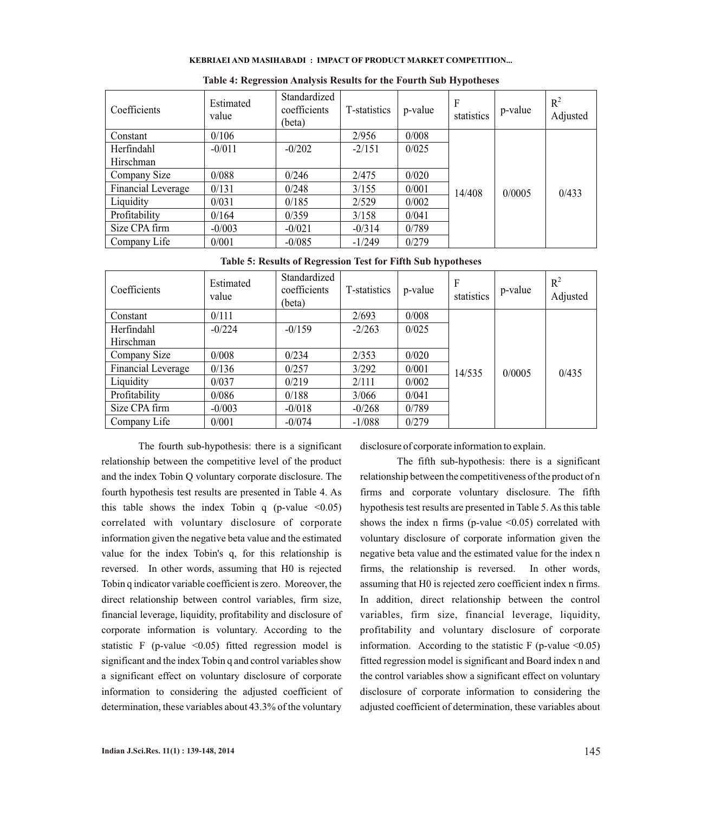| Coefficients       | Estimated<br>value | Standardized<br>coefficients<br>(beta) | T-statistics | p-value | F<br>statistics | p-value | $R^2$<br>Adjusted |
|--------------------|--------------------|----------------------------------------|--------------|---------|-----------------|---------|-------------------|
| Constant           | 0/106              |                                        | 2/956        | 0/008   |                 |         |                   |
| Herfindahl         | $-0/011$           | $-0/202$                               | $-2/151$     | 0/025   |                 |         |                   |
| Hirschman          |                    |                                        |              |         |                 |         |                   |
| Company Size       | 0/088              | 0/246                                  | 2/475        | 0/020   |                 |         |                   |
| Financial Leverage | 0/131              | 0/248                                  | 3/155        | 0/001   | 14/408          | 0/0005  | 0/433             |
| Liquidity          | 0/031              | 0/185                                  | 2/529        | 0/002   |                 |         |                   |
| Profitability      | 0/164              | 0/359                                  | 3/158        | 0/041   |                 |         |                   |
| Size CPA firm      | $-0/003$           | $-0/021$                               | $-0/314$     | 0/789   |                 |         |                   |
| Company Life       | 0/001              | $-0/085$                               | $-1/249$     | 0/279   |                 |         |                   |

**Table 4: Regression Analysis Results for the Fourth Sub Hypotheses**

#### **Table 5: Results of Regression Test for Fifth Sub hypotheses**

| Coefficients       | Estimated<br>value | Standardized<br>coefficients<br>(beta) | T-statistics | p-value | F<br>statistics | p-value | $R^2$<br>Adjusted |
|--------------------|--------------------|----------------------------------------|--------------|---------|-----------------|---------|-------------------|
| Constant           | 0/111              |                                        | 2/693        | 0/008   |                 |         |                   |
| Herfindahl         | $-0/224$           | $-0/159$                               | $-2/263$     | 0/025   |                 |         |                   |
| Hirschman          |                    |                                        |              |         |                 |         |                   |
| Company Size       | 0/008              | 0/234                                  | 2/353        | 0/020   |                 |         |                   |
| Financial Leverage | 0/136              | 0/257                                  | 3/292        | 0/001   | 14/535          | 0/0005  | 0/435             |
| Liquidity          | 0/037              | 0/219                                  | 2/111        | 0/002   |                 |         |                   |
| Profitability      | 0/086              | 0/188                                  | 3/066        | 0/041   |                 |         |                   |
| Size CPA firm      | $-0/003$           | $-0/018$                               | $-0/268$     | 0/789   |                 |         |                   |
| Company Life       | 0/001              | $-0/074$                               | $-1/088$     | 0/279   |                 |         |                   |

The fourth sub-hypothesis: there is a significant relationship between the competitive level of the product and the index Tobin Q voluntary corporate disclosure. The fourth hypothesis test results are presented in Table 4. As this table shows the index Tobin q (p-value  $\leq 0.05$ ) correlated with voluntary disclosure of corporate information given the negative beta value and the estimated value for the index Tobin's q, for this relationship is reversed. In other words, assuming that H0 is rejected Tobin q indicator variable coefficient is zero. Moreover, the direct relationship between control variables, firm size, financial leverage, liquidity, profitability and disclosure of corporate information is voluntary. According to the statistic F (p-value  $\leq 0.05$ ) fitted regression model is significant and the index Tobin q and control variables show a significant effect on voluntary disclosure of corporate information to considering the adjusted coefficient of determination, these variables about 43.3% of the voluntary

disclosure of corporate information to explain.

The fifth sub-hypothesis: there is a significant relationship between the competitiveness of the product of n firms and corporate voluntary disclosure. The fifth hypothesis test results are presented in Table 5. As this table shows the index n firms (p-value  $\leq 0.05$ ) correlated with voluntary disclosure of corporate information given the negative beta value and the estimated value for the index n firms, the relationship is reversed. In other words, assuming that H0 is rejected zero coefficient index n firms. In addition, direct relationship between the control variables, firm size, financial leverage, liquidity, profitability and voluntary disclosure of corporate information. According to the statistic  $F$  (p-value <0.05) fitted regression model is significant and Board index n and the control variables show a significant effect on voluntary disclosure of corporate information to considering the adjusted coefficient of determination, these variables about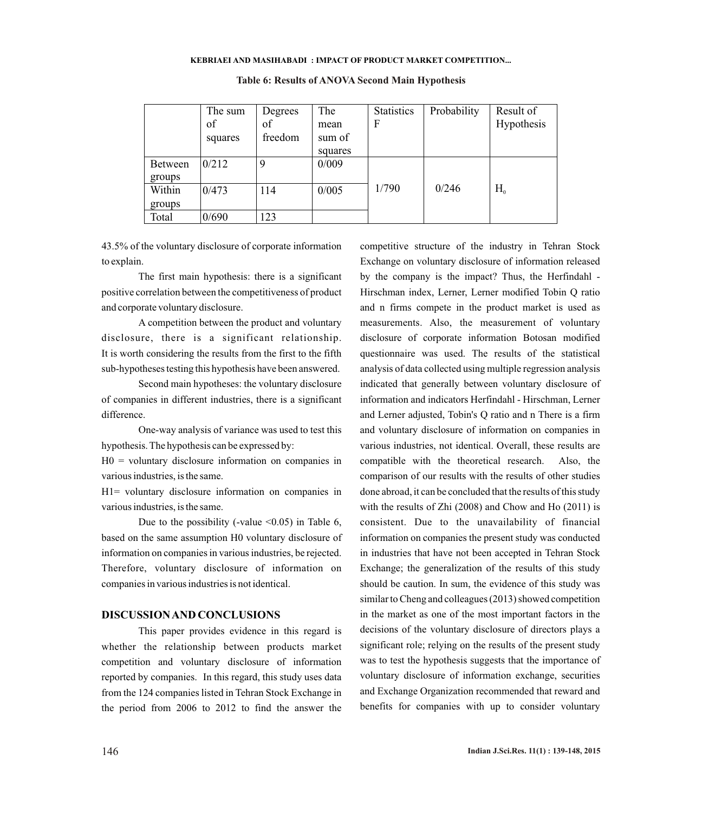|                | The sum<br>of<br>squares | Degrees<br>of<br>freedom | The<br>mean<br>sum of | <b>Statistics</b><br>F | Probability | Result of<br>Hypothesis |
|----------------|--------------------------|--------------------------|-----------------------|------------------------|-------------|-------------------------|
|                |                          |                          | squares               |                        |             |                         |
| <b>Between</b> | 0/212                    | 9                        | 0/009                 |                        |             |                         |
| groups         |                          |                          |                       |                        |             |                         |
| Within         | 0/473                    | 114                      | 0/005                 | 1/790                  | 0/246       | $H_{0}$                 |
| groups         |                          |                          |                       |                        |             |                         |
| Total          | 0/690                    | 123                      |                       |                        |             |                         |

## **Table 6: Results of ANOVA Second Main Hypothesis**

43.5% of the voluntary disclosure of corporate information to explain.

The first main hypothesis: there is a significant positive correlation between the competitiveness of product and corporate voluntary disclosure.

A competition between the product and voluntary disclosure, there is a significant relationship. It is worth considering the results from the first to the fifth sub-hypotheses testing this hypothesis have been answered.

Second main hypotheses: the voluntary disclosure of companies in different industries, there is a significant difference.

One-way analysis of variance was used to test this hypothesis. The hypothesis can be expressed by:

 $H0 =$  voluntary disclosure information on companies in various industries, is the same.

H1= voluntary disclosure information on companies in various industries, is the same.

Due to the possibility (-value  $\leq 0.05$ ) in Table 6, based on the same assumption H0 voluntary disclosure of information on companies in various industries, be rejected. Therefore, voluntary disclosure of information on companies in various industries is not identical.

## **DISCUSSION AND CONCLUSIONS**

This paper provides evidence in this regard is whether the relationship between products market competition and voluntary disclosure of information reported by companies. In this regard, this study uses data from the 124 companies listed in Tehran Stock Exchange in the period from 2006 to 2012 to find the answer the

competitive structure of the industry in Tehran Stock Exchange on voluntary disclosure of information released by the company is the impact? Thus, the Herfindahl - Hirschman index, Lerner, Lerner modified Tobin Q ratio and n firms compete in the product market is used as measurements. Also, the measurement of voluntary disclosure of corporate information Botosan modified questionnaire was used. The results of the statistical analysis of data collected using multiple regression analysis indicated that generally between voluntary disclosure of information and indicators Herfindahl - Hirschman, Lerner and Lerner adjusted, Tobin's Q ratio and n There is a firm and voluntary disclosure of information on companies in various industries, not identical. Overall, these results are compatible with the theoretical research. Also, the comparison of our results with the results of other studies done abroad, it can be concluded that the results of this study with the results of Zhi (2008) and Chow and Ho (2011) is consistent. Due to the unavailability of financial information on companies the present study was conducted in industries that have not been accepted in Tehran Stock Exchange; the generalization of the results of this study should be caution. In sum, the evidence of this study was similar to Cheng and colleagues (2013) showed competition in the market as one of the most important factors in the decisions of the voluntary disclosure of directors plays a significant role; relying on the results of the present study was to test the hypothesis suggests that the importance of voluntary disclosure of information exchange, securities and Exchange Organization recommended that reward and benefits for companies with up to consider voluntary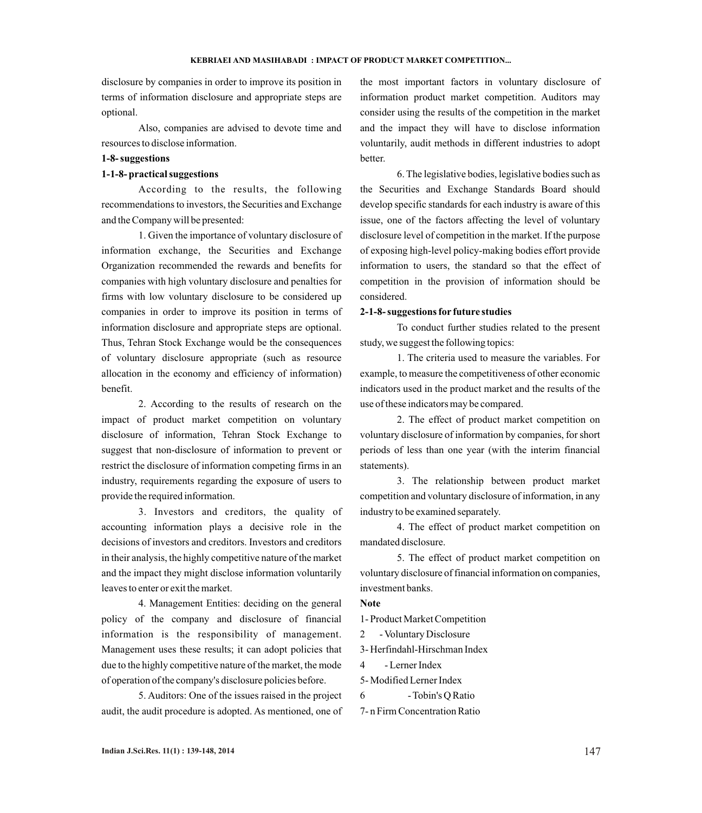disclosure by companies in order to improve its position in terms of information disclosure and appropriate steps are optional.

Also, companies are advised to devote time and resources to disclose information.

## **1-8- suggestions**

## **1-1-8- practical suggestions**

According to the results, the following recommendations to investors, the Securities and Exchange and the Company will be presented:

1. Given the importance of voluntary disclosure of information exchange, the Securities and Exchange Organization recommended the rewards and benefits for companies with high voluntary disclosure and penalties for firms with low voluntary disclosure to be considered up companies in order to improve its position in terms of information disclosure and appropriate steps are optional. Thus, Tehran Stock Exchange would be the consequences of voluntary disclosure appropriate (such as resource allocation in the economy and efficiency of information) benefit.

2. According to the results of research on the impact of product market competition on voluntary disclosure of information, Tehran Stock Exchange to suggest that non-disclosure of information to prevent or restrict the disclosure of information competing firms in an industry, requirements regarding the exposure of users to provide the required information.

3. Investors and creditors, the quality of accounting information plays a decisive role in the decisions of investors and creditors. Investors and creditors in their analysis, the highly competitive nature of the market and the impact they might disclose information voluntarily leaves to enter or exit the market.

4. Management Entities: deciding on the general policy of the company and disclosure of financial information is the responsibility of management. Management uses these results; it can adopt policies that due to the highly competitive nature of the market, the mode of operation of the company's disclosure policies before.

5. Auditors: One of the issues raised in the project audit, the audit procedure is adopted. As mentioned, one of

the most important factors in voluntary disclosure of information product market competition. Auditors may consider using the results of the competition in the market and the impact they will have to disclose information voluntarily, audit methods in different industries to adopt better.

6. The legislative bodies, legislative bodies such as the Securities and Exchange Standards Board should develop specific standards for each industry is aware of this issue, one of the factors affecting the level of voluntary disclosure level of competition in the market. If the purpose of exposing high-level policy-making bodies effort provide information to users, the standard so that the effect of competition in the provision of information should be considered.

## **2-1-8- suggestions for future studies**

To conduct further studies related to the present study, we suggest the following topics:

1. The criteria used to measure the variables. For example, to measure the competitiveness of other economic indicators used in the product market and the results of the use of these indicators may be compared.

2. The effect of product market competition on voluntary disclosure of information by companies, for short periods of less than one year (with the interim financial statements).

3. The relationship between product market competition and voluntary disclosure of information, in any industry to be examined separately.

4. The effect of product market competition on mandated disclosure.

5. The effect of product market competition on voluntary disclosure of financial information on companies, investment banks.

# **Note**

1- Product Market Competition

2 - Voluntary Disclosure

3- Herfindahl-Hirschman Index

4 - Lerner Index

5- Modified Lerner Index

```
6 - Tobin's Q Ratio
```
7- n Firm Concentration Ratio